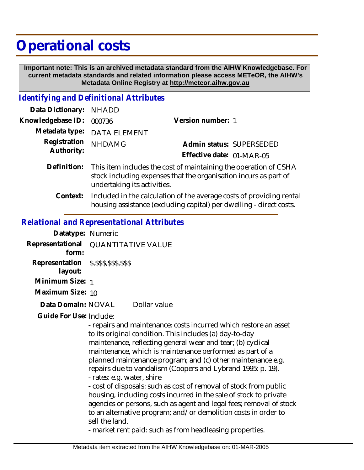## **Operational costs**

 **Important note: This is an archived metadata standard from the AIHW Knowledgebase. For current metadata standards and related information please access METeOR, the AIHW's Metadata Online Registry at http://meteor.aihw.gov.au**

## *Identifying and Definitional Attributes*

| Data Dictionary: NHADD     |                                                                                                                                                  |                           |                          |
|----------------------------|--------------------------------------------------------------------------------------------------------------------------------------------------|---------------------------|--------------------------|
| Knowledgebase ID:          | 000736                                                                                                                                           | Version number: 1         |                          |
|                            | Metadata type: DATA ELEMENT                                                                                                                      |                           |                          |
| Registration<br>Authority: | <b>NHDAMG</b>                                                                                                                                    |                           | Admin status: SUPERSEDED |
|                            |                                                                                                                                                  | Effective date: 01-MAR-05 |                          |
|                            | Definition: This item includes the cost of maintaining the operation of CSHA<br>stock including expenses that the organisation incurs as part of |                           |                          |

undertaking its activities.

Included in the calculation of the average costs of providing rental housing assistance (excluding capital) per dwelling - direct costs. **Context:**

## *Relational and Representational Attributes*

| Datatype: Numeric                                    |                           |              |
|------------------------------------------------------|---------------------------|--------------|
| Representational<br>form:                            | <b>QUANTITATIVE VALUE</b> |              |
| Representation \$, \$\$\$, \$\$\$, \$\$\$<br>layout: |                           |              |
| Minimum Size: 1                                      |                           |              |
| Maximum Size: 10                                     |                           |              |
| Data Domain: NOVAL                                   |                           | Dollar value |
|                                                      |                           |              |

Guide For Use: Include:

- repairs and maintenance: costs incurred which restore an asset to its original condition. This includes (a) day-to-day maintenance, reflecting general wear and tear; (b) cyclical maintenance, which is maintenance performed as part of a planned maintenance program; and (c) other maintenance e.g. repairs due to vandalism (Coopers and Lybrand 1995: p. 19). - rates: e.g. water, shire - cost of disposals: such as cost of removal of stock from public

housing, including costs incurred in the sale of stock to private agencies or persons, such as agent and legal fees; removal of stock to an alternative program; and/or demolition costs in order to sell the land.

- market rent paid: such as from headleasing properties.